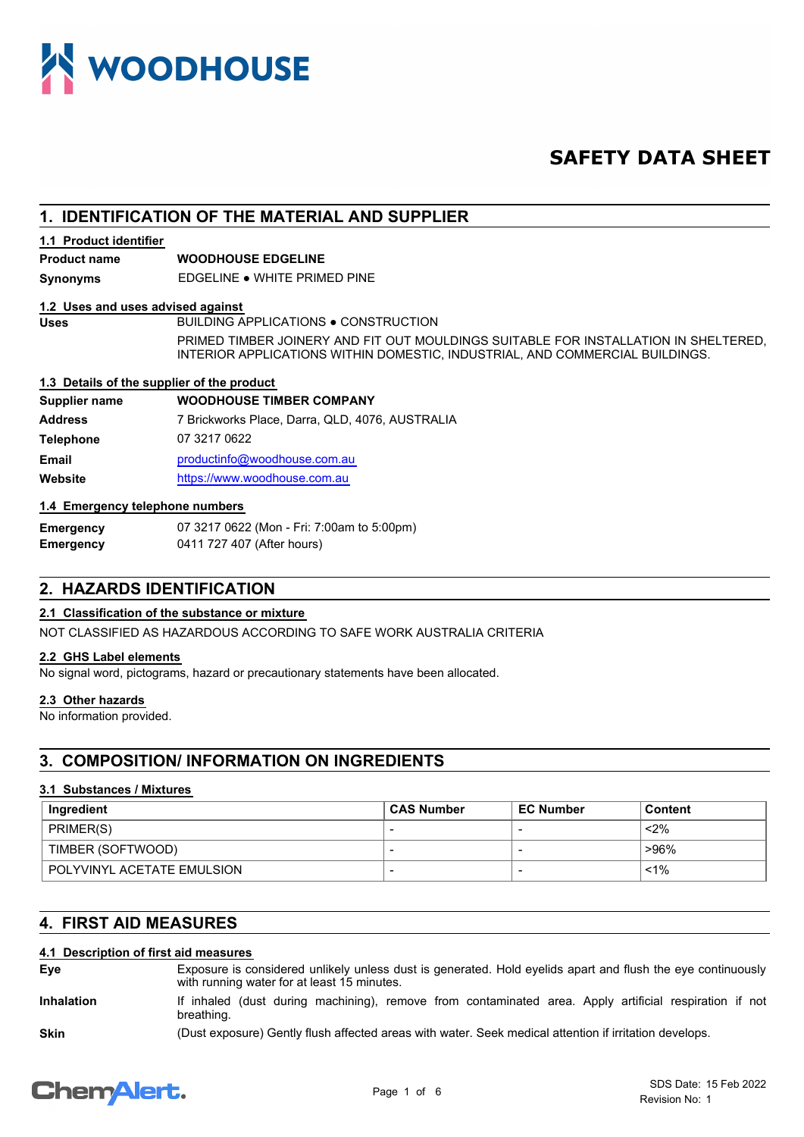

# **SAFETY DATA SHEET**

# **1. IDENTIFICATION OF THE MATERIAL AND SUPPLIER**

## **1.1 Product identifier**

# **Product name WOODHOUSE EDGELINE**

**Synonyms** EDGELINE ● WHITE PRIMED PINE

#### **1.2 Uses and uses advised against**

Uses BUILDING APPLICATIONS . CONSTRUCTION PRIMED TIMBER JOINERY AND FIT OUT MOULDINGS SUITABLE FOR INSTALLATION IN SHELTERED, INTERIOR APPLICATIONS WITHIN DOMESTIC, INDUSTRIAL, AND COMMERCIAL BUILDINGS.

# **1.3 Details of the supplier of the product**

## **Supplier name WOODHOUSE TIMBER COMPANY**

| <b>Address</b>   | 7 Brickworks Place, Darra, QLD, 4076, AUSTRALIA |
|------------------|-------------------------------------------------|
| <b>Telephone</b> | 07 3217 0622                                    |
| Email            | productinfo@woodhouse.com.au                    |
| Website          | https://www.woodhouse.com.au                    |

# **1.4 Emergency telephone numbers**

| <b>Emergency</b> | 07 3217 0622 (Mon - Fri: 7:00am to 5:00pm) |
|------------------|--------------------------------------------|
| Emergency        | 0411 727 407 (After hours)                 |

# **2. HAZARDS IDENTIFICATION**

# **2.1 Classification of the substance or mixture**

NOT CLASSIFIED AS HAZARDOUS ACCORDING TO SAFE WORK AUSTRALIA CRITERIA

## **2.2 GHS Label elements**

No signal word, pictograms, hazard or precautionary statements have been allocated.

#### **2.3 Other hazards**

No information provided.

# **3. COMPOSITION/ INFORMATION ON INGREDIENTS**

# **3.1 Substances / Mixtures**

| ∣ Ingredient               | <b>CAS Number</b> | <b>EC Number</b> | <b>Content</b> |
|----------------------------|-------------------|------------------|----------------|
| PRIMER(S)                  |                   |                  | $<$ 2%         |
| TIMBER (SOFTWOOD)          |                   |                  | >96%           |
| POLYVINYL ACETATE EMULSION |                   |                  | $< 1\%$        |

# **4. FIRST AID MEASURES**

# **4.1 Description of first aid measures**

Exposure is considered unlikely unless dust is generated. Hold eyelids apart and flush the eye continuously with running water for at least 15 minutes. **Eye**

If inhaled (dust during machining), remove from contaminated area. Apply artificial respiration if not breathing. **Inhalation**

**Skin** (Dust exposure) Gently flush affected areas with water. Seek medical attention if irritation develops.

# **ChemAlert.**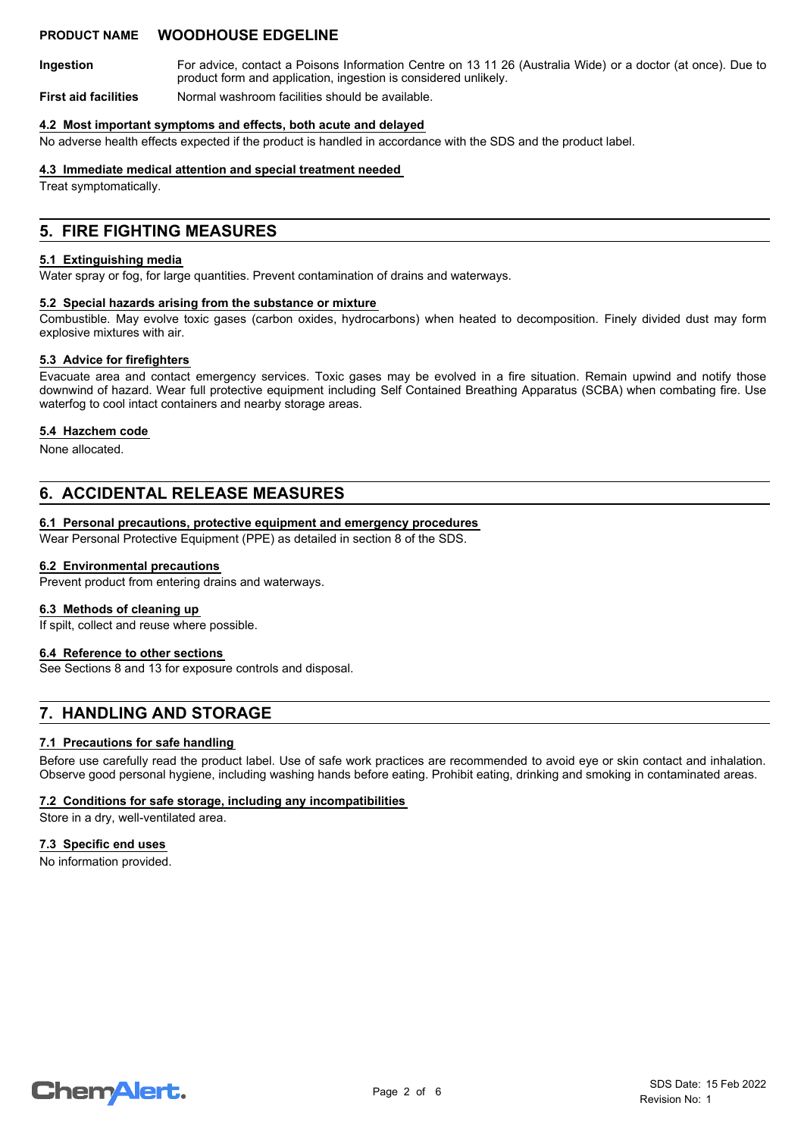# **PRODUCT NAME WOODHOUSE EDGELINE**

For advice, contact a Poisons Information Centre on 13 11 26 (Australia Wide) or a doctor (at once). Due to product form and application, ingestion is considered unlikely. **Ingestion**

**First aid facilities** Normal washroom facilities should be available.

#### **4.2 Most important symptoms and effects, both acute and delayed**

No adverse health effects expected if the product is handled in accordance with the SDS and the product label.

## **4.3 Immediate medical attention and special treatment needed**

Treat symptomatically.

# **5. FIRE FIGHTING MEASURES**

## **5.1 Extinguishing media**

Water spray or fog, for large quantities. Prevent contamination of drains and waterways.

#### **5.2 Special hazards arising from the substance or mixture**

Combustible. May evolve toxic gases (carbon oxides, hydrocarbons) when heated to decomposition. Finely divided dust may form explosive mixtures with air.

## **5.3 Advice for firefighters**

Evacuate area and contact emergency services. Toxic gases may be evolved in a fire situation. Remain upwind and notify those downwind of hazard. Wear full protective equipment including Self Contained Breathing Apparatus (SCBA) when combating fire. Use waterfog to cool intact containers and nearby storage areas.

## **5.4 Hazchem code**

None allocated.

# **6. ACCIDENTAL RELEASE MEASURES**

## **6.1 Personal precautions, protective equipment and emergency procedures**

Wear Personal Protective Equipment (PPE) as detailed in section 8 of the SDS.

### **6.2 Environmental precautions**

Prevent product from entering drains and waterways.

#### **6.3 Methods of cleaning up**

If spilt, collect and reuse where possible.

### **6.4 Reference to other sections**

See Sections 8 and 13 for exposure controls and disposal.

# **7. HANDLING AND STORAGE**

#### **7.1 Precautions for safe handling**

Before use carefully read the product label. Use of safe work practices are recommended to avoid eye or skin contact and inhalation. Observe good personal hygiene, including washing hands before eating. Prohibit eating, drinking and smoking in contaminated areas.

# **7.2 Conditions for safe storage, including any incompatibilities**

Store in a dry, well-ventilated area.

#### **7.3 Specific end uses**

No information provided.

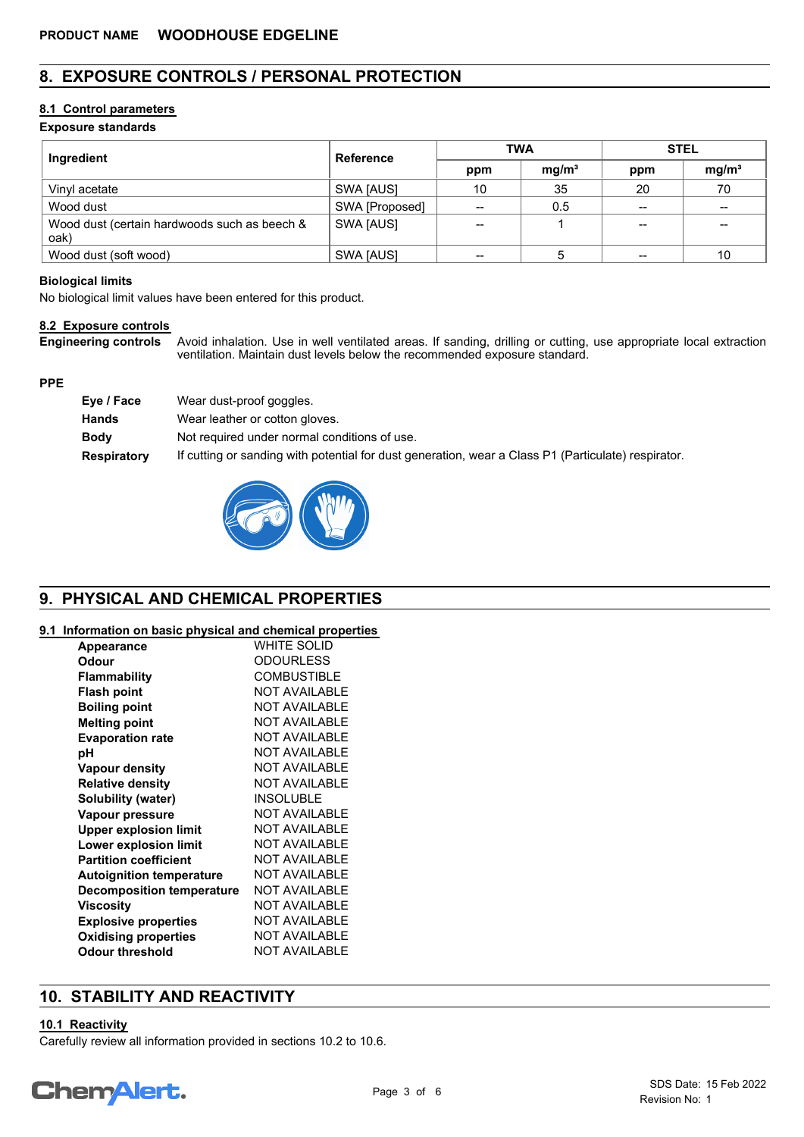# **8. EXPOSURE CONTROLS / PERSONAL PROTECTION**

# **8.1 Control parameters**

# **Exposure standards**

| Ingredient                                           | <b>Reference</b> | <b>TWA</b> |                   | <b>STEL</b> |                   |
|------------------------------------------------------|------------------|------------|-------------------|-------------|-------------------|
|                                                      |                  | ppm        | mg/m <sup>3</sup> | ppm         | mg/m <sup>3</sup> |
| Vinyl acetate                                        | SWA [AUS]        | 10         | 35                | 20          | 70                |
| Wood dust                                            | SWA [Proposed]   | $- -$      | 0.5               | $- -$       | $\qquad \qquad$   |
| Wood dust (certain hardwoods such as beech &<br>oak) | SWA [AUS]        | --         |                   | $- -$       |                   |
| Wood dust (soft wood)                                | SWA [AUS]        | --         |                   | $- -$       | 10                |

## **Biological limits**

No biological limit values have been entered for this product.

# **8.2 Exposure controls**

Avoid inhalation. Use in well ventilated areas. If sanding, drilling or cutting, use appropriate local extraction ventilation. Maintain dust levels below the recommended exposure standard. **Engineering controls**

# **PPE**

| Eye / Face         | Wear dust-proof goggles.                                                                            |
|--------------------|-----------------------------------------------------------------------------------------------------|
| Hands              | Wear leather or cotton gloves.                                                                      |
| <b>Body</b>        | Not required under normal conditions of use.                                                        |
| <b>Respiratory</b> | If cutting or sanding with potential for dust generation, wear a Class P1 (Particulate) respirator. |



# **9. PHYSICAL AND CHEMICAL PROPERTIES**

# **9.1 Information on basic physical and chemical properties**

| <b>Appearance</b>                | WHITE SOLID          |
|----------------------------------|----------------------|
| Odour                            | <b>ODOURLESS</b>     |
| Flammability                     | <b>COMBUSTIBLE</b>   |
| <b>Flash point</b>               | NOT AVAII ABI F      |
| <b>Boiling point</b>             | NOT AVAII ABI F      |
| <b>Melting point</b>             | NOT AVAII ABI F      |
| <b>Evaporation rate</b>          | <b>NOT AVAILABLE</b> |
| рH                               | NOT AVAII ABI F      |
| Vapour density                   | NOT AVAII ABI F      |
| <b>Relative density</b>          | <b>NOT AVAILABLE</b> |
| Solubility (water)               | <b>INSOLUBLE</b>     |
| Vapour pressure                  | <b>NOT AVAILABLE</b> |
| <b>Upper explosion limit</b>     | NOT AVAII ABI F      |
| Lower explosion limit            | NOT AVAII ABI F      |
| <b>Partition coefficient</b>     | <b>NOT AVAILABLE</b> |
| <b>Autoignition temperature</b>  | <b>NOT AVAILABLE</b> |
| <b>Decomposition temperature</b> | <b>NOT AVAILABLE</b> |
| Viscosity                        | NOT AVAILABLE        |
| <b>Explosive properties</b>      | <b>NOT AVAILABLE</b> |
| <b>Oxidising properties</b>      | <b>NOT AVAILABLE</b> |
| Odour threshold                  | <b>NOT AVAILABLE</b> |

# **10. STABILITY AND REACTIVITY**

# **10.1 Reactivity**

Carefully review all information provided in sections 10.2 to 10.6.

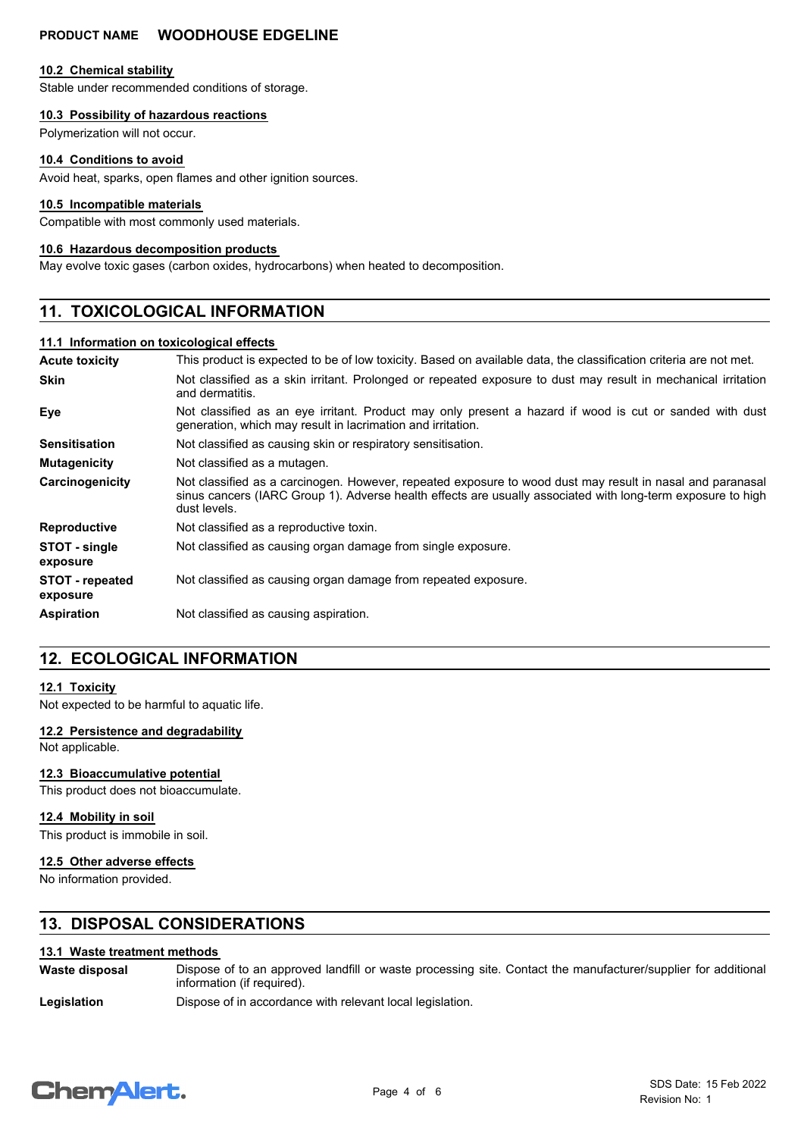# **PRODUCT NAME WOODHOUSE EDGELINE**

### **10.2 Chemical stability**

Stable under recommended conditions of storage.

# **10.3 Possibility of hazardous reactions**

Polymerization will not occur.

### **10.4 Conditions to avoid**

Avoid heat, sparks, open flames and other ignition sources.

### **10.5 Incompatible materials**

Compatible with most commonly used materials.

### **10.6 Hazardous decomposition products**

May evolve toxic gases (carbon oxides, hydrocarbons) when heated to decomposition.

# **11. TOXICOLOGICAL INFORMATION**

## **11.1 Information on toxicological effects**

| <b>Acute toxicity</b>              | This product is expected to be of low toxicity. Based on available data, the classification criteria are not met.                                                                                                                        |
|------------------------------------|------------------------------------------------------------------------------------------------------------------------------------------------------------------------------------------------------------------------------------------|
| <b>Skin</b>                        | Not classified as a skin irritant. Prolonged or repeated exposure to dust may result in mechanical irritation<br>and dermatitis.                                                                                                         |
| Eye                                | Not classified as an eye irritant. Product may only present a hazard if wood is cut or sanded with dust<br>generation, which may result in lacrimation and irritation.                                                                   |
| <b>Sensitisation</b>               | Not classified as causing skin or respiratory sensitisation.                                                                                                                                                                             |
| <b>Mutagenicity</b>                | Not classified as a mutagen.                                                                                                                                                                                                             |
| Carcinogenicity                    | Not classified as a carcinogen. However, repeated exposure to wood dust may result in nasal and paranasal<br>sinus cancers (IARC Group 1). Adverse health effects are usually associated with long-term exposure to high<br>dust levels. |
| <b>Reproductive</b>                | Not classified as a reproductive toxin.                                                                                                                                                                                                  |
| STOT - single<br>exposure          | Not classified as causing organ damage from single exposure.                                                                                                                                                                             |
| <b>STOT - repeated</b><br>exposure | Not classified as causing organ damage from repeated exposure.                                                                                                                                                                           |
| <b>Aspiration</b>                  | Not classified as causing aspiration.                                                                                                                                                                                                    |

# **12. ECOLOGICAL INFORMATION**

# **12.1 Toxicity**

Not expected to be harmful to aquatic life.

#### **12.2 Persistence and degradability**

Not applicable.

## **12.3 Bioaccumulative potential**

This product does not bioaccumulate.

#### **12.4 Mobility in soil**

This product is immobile in soil.

#### **12.5 Other adverse effects**

No information provided.

# **13. DISPOSAL CONSIDERATIONS**

# **13.1 Waste treatment methods**

Dispose of to an approved landfill or waste processing site. Contact the manufacturer/supplier for additional information (if required). **Waste disposal**

Legislation **Dispose of in accordance with relevant local legislation.** 

# **ChemAlert.**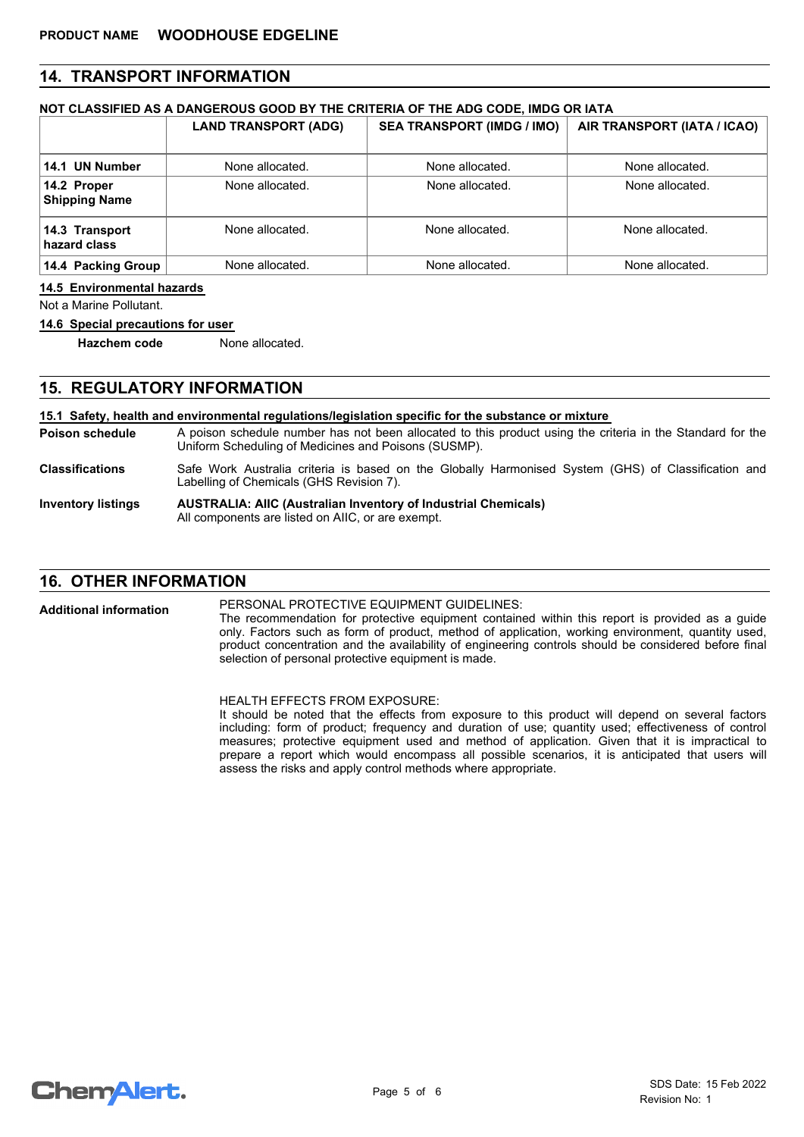# **14. TRANSPORT INFORMATION**

# **NOT CLASSIFIED AS A DANGEROUS GOOD BY THE CRITERIA OF THE ADG CODE, IMDG OR IATA**

|                                     | <b>LAND TRANSPORT (ADG)</b> | <b>SEA TRANSPORT (IMDG / IMO)</b> | AIR TRANSPORT (IATA / ICAO) |
|-------------------------------------|-----------------------------|-----------------------------------|-----------------------------|
| 14.1 UN Number                      | None allocated.             | None allocated.                   | None allocated.             |
| 14.2 Proper<br><b>Shipping Name</b> | None allocated.             | None allocated.                   | None allocated.             |
| 14.3 Transport<br>hazard class      | None allocated.             | None allocated.                   | None allocated.             |
| 14.4 Packing Group                  | None allocated.             | None allocated.                   | None allocated.             |

**14.5 Environmental hazards**

Not a Marine Pollutant.

**14.6 Special precautions for user**

**Hazchem code** None allocated.

# **15. REGULATORY INFORMATION**

#### A poison schedule number has not been allocated to this product using the criteria in the Standard for the Uniform Scheduling of Medicines and Poisons (SUSMP). **15.1 Safety, health and environmental regulations/legislation specific for the substance or mixture Poison schedule AUSTRALIA: AIIC (Australian Inventory of Industrial Chemicals)** All components are listed on AIIC, or are exempt. **Inventory listings** Safe Work Australia criteria is based on the Globally Harmonised System (GHS) of Classification and Labelling of Chemicals (GHS Revision 7). **Classifications**

# **16. OTHER INFORMATION**

PERSONAL PROTECTIVE EQUIPMENT GUIDELINES: The recommendation for protective equipment contained within this report is provided as a guide only. Factors such as form of product, method of application, working environment, quantity used, product concentration and the availability of engineering controls should be considered before final selection of personal protective equipment is made. **Additional information**

> HEALTH EFFECTS FROM EXPOSURE: It should be noted that the effects from exposure to this product will depend on several factors including: form of product; frequency and duration of use; quantity used; effectiveness of control measures; protective equipment used and method of application. Given that it is impractical to prepare a report which would encompass all possible scenarios, it is anticipated that users will assess the risks and apply control methods where appropriate.